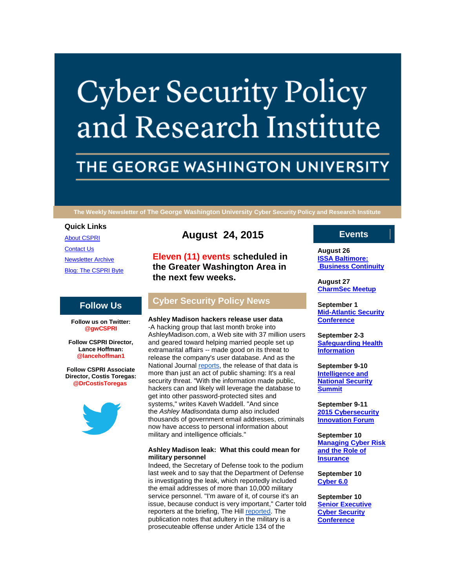# **Cyber Security Policy** and Research Institute

# THE GEORGE WASHINGTON UNIVERSITY

**The Weekly Newsletter of The George Washington University Cyber Security Policy and Research Institute**

# **Quick Links**

[About CSPRI](http://r20.rs6.net/tn.jsp?f=001mLRM7XiYyE26gyERZq8VbuW2MgZZK7H5uFO-DS3LqUWhjrS9x9All4ktaZpLytn32YMWOq-FtffHNIOp11yhovPaM02OHbJ91WyZVZU7OijxC0onHbmgV91vy9zx5bCPS93xjeSMd5m5WIIGxuyiE7IL51oEbe1-d1ctbt4eHsBkZS6jqx2XvFKvublmqtcq&c=13XblyPrP4tnpQdwTW09d-kl6kRjlx5PfjumIdEXvwONEHQ3mM66Wg==&ch=4V5sMfbLFRuEE953fMVPmgZL43fkms3fKv1PMtTxNFzn8PlA6ujo4w==) [Contact Us](http://r20.rs6.net/tn.jsp?f=001mLRM7XiYyE26gyERZq8VbuW2MgZZK7H5uFO-DS3LqUWhjrS9x9All4ktaZpLytn3_NDFcwCiOCc31srOjPxybk6v7ZsmlyWrjdGw_lgTPiCEQVgCvrrzsAX6L6ylSAhgTAsvNiALrHzdvx_e0bIaXtShHz7lhi9jRLOqNuBYb1gXw4-Wr0YTmIzkw4FW_8ef4OcBP2FNRz8=&c=13XblyPrP4tnpQdwTW09d-kl6kRjlx5PfjumIdEXvwONEHQ3mM66Wg==&ch=4V5sMfbLFRuEE953fMVPmgZL43fkms3fKv1PMtTxNFzn8PlA6ujo4w==) [Newsletter Archive](http://r20.rs6.net/tn.jsp?f=001mLRM7XiYyE26gyERZq8VbuW2MgZZK7H5uFO-DS3LqUWhjrS9x9All4ktaZpLytn3nun0JbPQbFTin4PiTJDUnW8dSS8V_oR7VpqQGqJau6vH8is5MkQXE6Q7X0Jdg930oulnAqefkQQtluSDptN8ij5XTpzQLF03cYR24NkSeT35JmJTsaMP9A_4TDqWMd1MxLAHjlsqcZg=&c=13XblyPrP4tnpQdwTW09d-kl6kRjlx5PfjumIdEXvwONEHQ3mM66Wg==&ch=4V5sMfbLFRuEE953fMVPmgZL43fkms3fKv1PMtTxNFzn8PlA6ujo4w==) [Blog: The CSPRI Byte](http://r20.rs6.net/tn.jsp?f=001mLRM7XiYyE26gyERZq8VbuW2MgZZK7H5uFO-DS3LqUWhjrS9x9All4ktaZpLytn3ipI6A2fU7wLviPZmNzXN2CdjCyCDKqIrA22lunT3NPBi6njR-wEqm3fvD-ywr88H8TNtdywCgfpGfjx7aqxqaxgQdNEd8bpK-bBemH2uZxC6Oz0OnVFHdw0eD_OU5QSk&c=13XblyPrP4tnpQdwTW09d-kl6kRjlx5PfjumIdEXvwONEHQ3mM66Wg==&ch=4V5sMfbLFRuEE953fMVPmgZL43fkms3fKv1PMtTxNFzn8PlA6ujo4w==)

# **Follow Us**

**Follow us on Twitter: @gwCSPRI**

**Follow CSPRI Director, Lance Hoffman: @lancehoffman1**

**Follow CSPRI Associate Director, Costis Toregas: @DrCostisToregas**



# **August 24, 2015**

**Eleven (11) events scheduled in the Greater Washington Area in the next few weeks.**

# **Cyber Security Policy News**

**Ashley Madison hackers release user data** -A hacking group that last month broke into AshleyMadison.com, a Web site with 37 million users and geared toward helping married people set up extramarital affairs -- made good on its threat to release the company's user database. And as the National Journal [reports,](http://r20.rs6.net/tn.jsp?f=001mLRM7XiYyE26gyERZq8VbuW2MgZZK7H5uFO-DS3LqUWhjrS9x9All1xAeY5ziWG0Yffq_KFSRsHY_cqyLNvA8LbgFJp0We4LB6rYTc0298dP0deyHzhIu2dXzNNeGsa5TIPoQQHVu2BlxcbvtMwJgYV4HZNNoVRg4ocCLYYUxlDnXO85uw_BQJctkuhkPHUq2NQG1hBNIMpzkSLYzNl4UlGgj1YxPq4FaXhODCbapRsQ1X-DqBCYMqmBRXnvggiW4BwzmH6JJqE=&c=13XblyPrP4tnpQdwTW09d-kl6kRjlx5PfjumIdEXvwONEHQ3mM66Wg==&ch=4V5sMfbLFRuEE953fMVPmgZL43fkms3fKv1PMtTxNFzn8PlA6ujo4w==) the release of that data is more than just an act of public shaming: It's a real security threat. "With the information made public, hackers can and likely will leverage the database to get into other password-protected sites and systems," writes Kaveh Waddell. "And since the *Ashley Madison*data dump also included thousands of government email addresses, criminals now have access to personal information about military and intelligence officials."

# **Ashley Madison leak: What this could mean for military personnel**

Indeed, the Secretary of Defense took to the podium last week and to say that the Department of Defense is investigating the leak, which reportedly included the email addresses of more than 10,000 military service personnel. "I'm aware of it, of course it's an issue, because conduct is very important," Carter told reporters at the briefing, The Hill [reported.](http://r20.rs6.net/tn.jsp?f=001mLRM7XiYyE26gyERZq8VbuW2MgZZK7H5uFO-DS3LqUWhjrS9x9All1xAeY5ziWG0Mzbr4MIjVU__HyS9iya9CZ_XpthAZGZvbKfPw9xj7uP70gljyXnipiUQCFxAJzfE0BUC2R7z2iRaYQXZuOcN77PR-scHxwtMS0jSCZlcHnEqJ5dittJj-xqtYB9U6eYOHX0COIRXcGOFKOnYgkMXsBWMZnzUzoWODOskDCMl_kxY55jBLr3qN5-5I2UHk4t0FTsJAC1DnTo=&c=13XblyPrP4tnpQdwTW09d-kl6kRjlx5PfjumIdEXvwONEHQ3mM66Wg==&ch=4V5sMfbLFRuEE953fMVPmgZL43fkms3fKv1PMtTxNFzn8PlA6ujo4w==) The publication notes that adultery in the military is a prosecuteable offense under Article 134 of the

# **Events**

**August 26 [ISSA Baltimore:](http://r20.rs6.net/tn.jsp?f=001mLRM7XiYyE26gyERZq8VbuW2MgZZK7H5uFO-DS3LqUWhjrS9x9All6QEQq6Scx9eQDEZR6X4ZJfOzOISin77kKEWz0AVdYPNeAgH48sKocpKfqcu8BulbE4OkkbDp_RDexUOiGvg6k7YuDCggBqKN9pc7aDywdn8q6VSE0_rVdHcGbVlDUINjGvIfm0WQEBF6ufeBfdVW6Q=&c=13XblyPrP4tnpQdwTW09d-kl6kRjlx5PfjumIdEXvwONEHQ3mM66Wg==&ch=4V5sMfbLFRuEE953fMVPmgZL43fkms3fKv1PMtTxNFzn8PlA6ujo4w==)  [Business Continuity](http://r20.rs6.net/tn.jsp?f=001mLRM7XiYyE26gyERZq8VbuW2MgZZK7H5uFO-DS3LqUWhjrS9x9All6QEQq6Scx9eQDEZR6X4ZJfOzOISin77kKEWz0AVdYPNeAgH48sKocpKfqcu8BulbE4OkkbDp_RDexUOiGvg6k7YuDCggBqKN9pc7aDywdn8q6VSE0_rVdHcGbVlDUINjGvIfm0WQEBF6ufeBfdVW6Q=&c=13XblyPrP4tnpQdwTW09d-kl6kRjlx5PfjumIdEXvwONEHQ3mM66Wg==&ch=4V5sMfbLFRuEE953fMVPmgZL43fkms3fKv1PMtTxNFzn8PlA6ujo4w==)**

**August 27 [CharmSec Meetup](http://r20.rs6.net/tn.jsp?f=001mLRM7XiYyE26gyERZq8VbuW2MgZZK7H5uFO-DS3LqUWhjrS9x9All6QEQq6Scx9eQDEZR6X4ZJfOzOISin77kKEWz0AVdYPNeAgH48sKocpKfqcu8BulbE4OkkbDp_RDexUOiGvg6k7YuDCggBqKN9pc7aDywdn8q6VSE0_rVdHcGbVlDUINjGvIfm0WQEBF6ufeBfdVW6Q=&c=13XblyPrP4tnpQdwTW09d-kl6kRjlx5PfjumIdEXvwONEHQ3mM66Wg==&ch=4V5sMfbLFRuEE953fMVPmgZL43fkms3fKv1PMtTxNFzn8PlA6ujo4w==)**

**September 1 [Mid-Atlantic Security](http://r20.rs6.net/tn.jsp?f=001mLRM7XiYyE26gyERZq8VbuW2MgZZK7H5uFO-DS3LqUWhjrS9x9All6QEQq6Scx9eQDEZR6X4ZJfOzOISin77kKEWz0AVdYPNeAgH48sKocpKfqcu8BulbE4OkkbDp_RDexUOiGvg6k7YuDCggBqKN9pc7aDywdn8q6VSE0_rVdHcGbVlDUINjGvIfm0WQEBF6ufeBfdVW6Q=&c=13XblyPrP4tnpQdwTW09d-kl6kRjlx5PfjumIdEXvwONEHQ3mM66Wg==&ch=4V5sMfbLFRuEE953fMVPmgZL43fkms3fKv1PMtTxNFzn8PlA6ujo4w==)  [Conference](http://r20.rs6.net/tn.jsp?f=001mLRM7XiYyE26gyERZq8VbuW2MgZZK7H5uFO-DS3LqUWhjrS9x9All6QEQq6Scx9eQDEZR6X4ZJfOzOISin77kKEWz0AVdYPNeAgH48sKocpKfqcu8BulbE4OkkbDp_RDexUOiGvg6k7YuDCggBqKN9pc7aDywdn8q6VSE0_rVdHcGbVlDUINjGvIfm0WQEBF6ufeBfdVW6Q=&c=13XblyPrP4tnpQdwTW09d-kl6kRjlx5PfjumIdEXvwONEHQ3mM66Wg==&ch=4V5sMfbLFRuEE953fMVPmgZL43fkms3fKv1PMtTxNFzn8PlA6ujo4w==)**

**September 2-3 [Safeguarding Health](http://r20.rs6.net/tn.jsp?f=001mLRM7XiYyE26gyERZq8VbuW2MgZZK7H5uFO-DS3LqUWhjrS9x9All6QEQq6Scx9eQDEZR6X4ZJfOzOISin77kKEWz0AVdYPNeAgH48sKocpKfqcu8BulbE4OkkbDp_RDexUOiGvg6k7YuDCggBqKN9pc7aDywdn8q6VSE0_rVdHcGbVlDUINjGvIfm0WQEBF6ufeBfdVW6Q=&c=13XblyPrP4tnpQdwTW09d-kl6kRjlx5PfjumIdEXvwONEHQ3mM66Wg==&ch=4V5sMfbLFRuEE953fMVPmgZL43fkms3fKv1PMtTxNFzn8PlA6ujo4w==)  [Information](http://r20.rs6.net/tn.jsp?f=001mLRM7XiYyE26gyERZq8VbuW2MgZZK7H5uFO-DS3LqUWhjrS9x9All6QEQq6Scx9eQDEZR6X4ZJfOzOISin77kKEWz0AVdYPNeAgH48sKocpKfqcu8BulbE4OkkbDp_RDexUOiGvg6k7YuDCggBqKN9pc7aDywdn8q6VSE0_rVdHcGbVlDUINjGvIfm0WQEBF6ufeBfdVW6Q=&c=13XblyPrP4tnpQdwTW09d-kl6kRjlx5PfjumIdEXvwONEHQ3mM66Wg==&ch=4V5sMfbLFRuEE953fMVPmgZL43fkms3fKv1PMtTxNFzn8PlA6ujo4w==)**

**September 9-10 [Intelligence and](http://r20.rs6.net/tn.jsp?f=001mLRM7XiYyE26gyERZq8VbuW2MgZZK7H5uFO-DS3LqUWhjrS9x9All6QEQq6Scx9eQDEZR6X4ZJfOzOISin77kKEWz0AVdYPNeAgH48sKocpKfqcu8BulbE4OkkbDp_RDexUOiGvg6k7YuDCggBqKN9pc7aDywdn8q6VSE0_rVdHcGbVlDUINjGvIfm0WQEBF6ufeBfdVW6Q=&c=13XblyPrP4tnpQdwTW09d-kl6kRjlx5PfjumIdEXvwONEHQ3mM66Wg==&ch=4V5sMfbLFRuEE953fMVPmgZL43fkms3fKv1PMtTxNFzn8PlA6ujo4w==)  [National Security](http://r20.rs6.net/tn.jsp?f=001mLRM7XiYyE26gyERZq8VbuW2MgZZK7H5uFO-DS3LqUWhjrS9x9All6QEQq6Scx9eQDEZR6X4ZJfOzOISin77kKEWz0AVdYPNeAgH48sKocpKfqcu8BulbE4OkkbDp_RDexUOiGvg6k7YuDCggBqKN9pc7aDywdn8q6VSE0_rVdHcGbVlDUINjGvIfm0WQEBF6ufeBfdVW6Q=&c=13XblyPrP4tnpQdwTW09d-kl6kRjlx5PfjumIdEXvwONEHQ3mM66Wg==&ch=4V5sMfbLFRuEE953fMVPmgZL43fkms3fKv1PMtTxNFzn8PlA6ujo4w==)  [Summit](http://r20.rs6.net/tn.jsp?f=001mLRM7XiYyE26gyERZq8VbuW2MgZZK7H5uFO-DS3LqUWhjrS9x9All6QEQq6Scx9eQDEZR6X4ZJfOzOISin77kKEWz0AVdYPNeAgH48sKocpKfqcu8BulbE4OkkbDp_RDexUOiGvg6k7YuDCggBqKN9pc7aDywdn8q6VSE0_rVdHcGbVlDUINjGvIfm0WQEBF6ufeBfdVW6Q=&c=13XblyPrP4tnpQdwTW09d-kl6kRjlx5PfjumIdEXvwONEHQ3mM66Wg==&ch=4V5sMfbLFRuEE953fMVPmgZL43fkms3fKv1PMtTxNFzn8PlA6ujo4w==)**

**September 9-11 [2015 Cybersecurity](http://r20.rs6.net/tn.jsp?f=001mLRM7XiYyE26gyERZq8VbuW2MgZZK7H5uFO-DS3LqUWhjrS9x9All6QEQq6Scx9eQDEZR6X4ZJfOzOISin77kKEWz0AVdYPNeAgH48sKocpKfqcu8BulbE4OkkbDp_RDexUOiGvg6k7YuDCggBqKN9pc7aDywdn8q6VSE0_rVdHcGbVlDUINjGvIfm0WQEBF6ufeBfdVW6Q=&c=13XblyPrP4tnpQdwTW09d-kl6kRjlx5PfjumIdEXvwONEHQ3mM66Wg==&ch=4V5sMfbLFRuEE953fMVPmgZL43fkms3fKv1PMtTxNFzn8PlA6ujo4w==)  [Innovation Forum](http://r20.rs6.net/tn.jsp?f=001mLRM7XiYyE26gyERZq8VbuW2MgZZK7H5uFO-DS3LqUWhjrS9x9All6QEQq6Scx9eQDEZR6X4ZJfOzOISin77kKEWz0AVdYPNeAgH48sKocpKfqcu8BulbE4OkkbDp_RDexUOiGvg6k7YuDCggBqKN9pc7aDywdn8q6VSE0_rVdHcGbVlDUINjGvIfm0WQEBF6ufeBfdVW6Q=&c=13XblyPrP4tnpQdwTW09d-kl6kRjlx5PfjumIdEXvwONEHQ3mM66Wg==&ch=4V5sMfbLFRuEE953fMVPmgZL43fkms3fKv1PMtTxNFzn8PlA6ujo4w==)**

**September 10 [Managing Cyber Risk](http://r20.rs6.net/tn.jsp?f=001mLRM7XiYyE26gyERZq8VbuW2MgZZK7H5uFO-DS3LqUWhjrS9x9All6QEQq6Scx9eQDEZR6X4ZJfOzOISin77kKEWz0AVdYPNeAgH48sKocpKfqcu8BulbE4OkkbDp_RDexUOiGvg6k7YuDCggBqKN9pc7aDywdn8q6VSE0_rVdHcGbVlDUINjGvIfm0WQEBF6ufeBfdVW6Q=&c=13XblyPrP4tnpQdwTW09d-kl6kRjlx5PfjumIdEXvwONEHQ3mM66Wg==&ch=4V5sMfbLFRuEE953fMVPmgZL43fkms3fKv1PMtTxNFzn8PlA6ujo4w==)  [and the Role of](http://r20.rs6.net/tn.jsp?f=001mLRM7XiYyE26gyERZq8VbuW2MgZZK7H5uFO-DS3LqUWhjrS9x9All6QEQq6Scx9eQDEZR6X4ZJfOzOISin77kKEWz0AVdYPNeAgH48sKocpKfqcu8BulbE4OkkbDp_RDexUOiGvg6k7YuDCggBqKN9pc7aDywdn8q6VSE0_rVdHcGbVlDUINjGvIfm0WQEBF6ufeBfdVW6Q=&c=13XblyPrP4tnpQdwTW09d-kl6kRjlx5PfjumIdEXvwONEHQ3mM66Wg==&ch=4V5sMfbLFRuEE953fMVPmgZL43fkms3fKv1PMtTxNFzn8PlA6ujo4w==)  [Insurance](http://r20.rs6.net/tn.jsp?f=001mLRM7XiYyE26gyERZq8VbuW2MgZZK7H5uFO-DS3LqUWhjrS9x9All6QEQq6Scx9eQDEZR6X4ZJfOzOISin77kKEWz0AVdYPNeAgH48sKocpKfqcu8BulbE4OkkbDp_RDexUOiGvg6k7YuDCggBqKN9pc7aDywdn8q6VSE0_rVdHcGbVlDUINjGvIfm0WQEBF6ufeBfdVW6Q=&c=13XblyPrP4tnpQdwTW09d-kl6kRjlx5PfjumIdEXvwONEHQ3mM66Wg==&ch=4V5sMfbLFRuEE953fMVPmgZL43fkms3fKv1PMtTxNFzn8PlA6ujo4w==)**

**September 10 [Cyber 6.0](http://r20.rs6.net/tn.jsp?f=001mLRM7XiYyE26gyERZq8VbuW2MgZZK7H5uFO-DS3LqUWhjrS9x9All6QEQq6Scx9eQDEZR6X4ZJfOzOISin77kKEWz0AVdYPNeAgH48sKocpKfqcu8BulbE4OkkbDp_RDexUOiGvg6k7YuDCggBqKN9pc7aDywdn8q6VSE0_rVdHcGbVlDUINjGvIfm0WQEBF6ufeBfdVW6Q=&c=13XblyPrP4tnpQdwTW09d-kl6kRjlx5PfjumIdEXvwONEHQ3mM66Wg==&ch=4V5sMfbLFRuEE953fMVPmgZL43fkms3fKv1PMtTxNFzn8PlA6ujo4w==)**

**September 10 [Senior Executive](http://r20.rs6.net/tn.jsp?f=001mLRM7XiYyE26gyERZq8VbuW2MgZZK7H5uFO-DS3LqUWhjrS9x9All6QEQq6Scx9eQDEZR6X4ZJfOzOISin77kKEWz0AVdYPNeAgH48sKocpKfqcu8BulbE4OkkbDp_RDexUOiGvg6k7YuDCggBqKN9pc7aDywdn8q6VSE0_rVdHcGbVlDUINjGvIfm0WQEBF6ufeBfdVW6Q=&c=13XblyPrP4tnpQdwTW09d-kl6kRjlx5PfjumIdEXvwONEHQ3mM66Wg==&ch=4V5sMfbLFRuEE953fMVPmgZL43fkms3fKv1PMtTxNFzn8PlA6ujo4w==)  [Cyber Security](http://r20.rs6.net/tn.jsp?f=001mLRM7XiYyE26gyERZq8VbuW2MgZZK7H5uFO-DS3LqUWhjrS9x9All6QEQq6Scx9eQDEZR6X4ZJfOzOISin77kKEWz0AVdYPNeAgH48sKocpKfqcu8BulbE4OkkbDp_RDexUOiGvg6k7YuDCggBqKN9pc7aDywdn8q6VSE0_rVdHcGbVlDUINjGvIfm0WQEBF6ufeBfdVW6Q=&c=13XblyPrP4tnpQdwTW09d-kl6kRjlx5PfjumIdEXvwONEHQ3mM66Wg==&ch=4V5sMfbLFRuEE953fMVPmgZL43fkms3fKv1PMtTxNFzn8PlA6ujo4w==)  [Conference](http://r20.rs6.net/tn.jsp?f=001mLRM7XiYyE26gyERZq8VbuW2MgZZK7H5uFO-DS3LqUWhjrS9x9All6QEQq6Scx9eQDEZR6X4ZJfOzOISin77kKEWz0AVdYPNeAgH48sKocpKfqcu8BulbE4OkkbDp_RDexUOiGvg6k7YuDCggBqKN9pc7aDywdn8q6VSE0_rVdHcGbVlDUINjGvIfm0WQEBF6ufeBfdVW6Q=&c=13XblyPrP4tnpQdwTW09d-kl6kRjlx5PfjumIdEXvwONEHQ3mM66Wg==&ch=4V5sMfbLFRuEE953fMVPmgZL43fkms3fKv1PMtTxNFzn8PlA6ujo4w==)**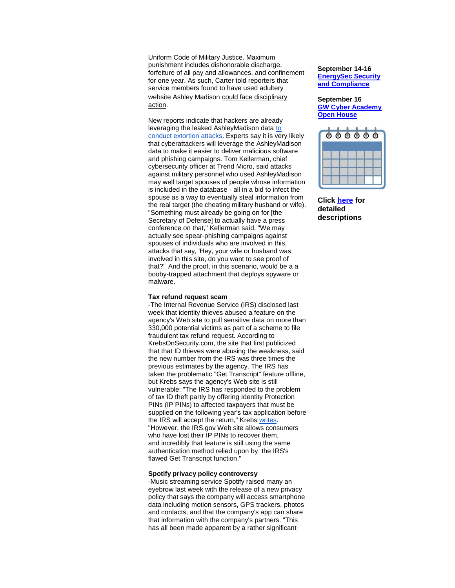Uniform Code of Military Justice. Maximum punishment includes dishonorable discharge, forfeiture of all pay and allowances, and confinement for one year. As such, Carter told reporters that service members found to have used adultery website Ashley Madison [could face disciplinary](http://r20.rs6.net/tn.jsp?f=001mLRM7XiYyE26gyERZq8VbuW2MgZZK7H5uFO-DS3LqUWhjrS9x9All1xAeY5ziWG0VY76VDdFFUXWWPCJa8z4MEyYIDgs1uQaET8zhh2TRXSeq_5PshQD3JHYgZITs8Hax3tw0kzQnjZsMV8ZVreER1-cRhw_WOLWqWVHrpl6Q7-2S0stziHRvIX1xdGiJPthj7QFzKSd49W_W3d0WpHSDpKvDjTUjcIAKP0XEz7T9FGLQG9xuqUshKRAuWfRpHKU-MhTM4qV20UHB1jENlXjUW4C77Zm94ALIMcB_b0_8-k=&c=13XblyPrP4tnpQdwTW09d-kl6kRjlx5PfjumIdEXvwONEHQ3mM66Wg==&ch=4V5sMfbLFRuEE953fMVPmgZL43fkms3fKv1PMtTxNFzn8PlA6ujo4w==)  [action.](http://r20.rs6.net/tn.jsp?f=001mLRM7XiYyE26gyERZq8VbuW2MgZZK7H5uFO-DS3LqUWhjrS9x9All1xAeY5ziWG0VY76VDdFFUXWWPCJa8z4MEyYIDgs1uQaET8zhh2TRXSeq_5PshQD3JHYgZITs8Hax3tw0kzQnjZsMV8ZVreER1-cRhw_WOLWqWVHrpl6Q7-2S0stziHRvIX1xdGiJPthj7QFzKSd49W_W3d0WpHSDpKvDjTUjcIAKP0XEz7T9FGLQG9xuqUshKRAuWfRpHKU-MhTM4qV20UHB1jENlXjUW4C77Zm94ALIMcB_b0_8-k=&c=13XblyPrP4tnpQdwTW09d-kl6kRjlx5PfjumIdEXvwONEHQ3mM66Wg==&ch=4V5sMfbLFRuEE953fMVPmgZL43fkms3fKv1PMtTxNFzn8PlA6ujo4w==)

New reports indicate that hackers are already leveraging the leaked AshleyMadison data [to](http://r20.rs6.net/tn.jsp?f=001mLRM7XiYyE26gyERZq8VbuW2MgZZK7H5uFO-DS3LqUWhjrS9x9All1xAeY5ziWG0iNT6R1Gd3CH_VbFWAIGM2JDbcNmicqeE2N4342g6K_EdytEwp3S9EjXDpuy-ftks-23smm0H_AugRfCCOYU5_ITUuaqmwyHRPjD9DPURnR679bKEySqk18K-qBhVmPq1fz1Qv5-1f6nVKjEl5xNPlQC88rso74b0i6tBNb3zVDoMn0EMh8gzId8JiHooUAzh&c=13XblyPrP4tnpQdwTW09d-kl6kRjlx5PfjumIdEXvwONEHQ3mM66Wg==&ch=4V5sMfbLFRuEE953fMVPmgZL43fkms3fKv1PMtTxNFzn8PlA6ujo4w==)  [conduct extortion attacks.](http://r20.rs6.net/tn.jsp?f=001mLRM7XiYyE26gyERZq8VbuW2MgZZK7H5uFO-DS3LqUWhjrS9x9All1xAeY5ziWG0iNT6R1Gd3CH_VbFWAIGM2JDbcNmicqeE2N4342g6K_EdytEwp3S9EjXDpuy-ftks-23smm0H_AugRfCCOYU5_ITUuaqmwyHRPjD9DPURnR679bKEySqk18K-qBhVmPq1fz1Qv5-1f6nVKjEl5xNPlQC88rso74b0i6tBNb3zVDoMn0EMh8gzId8JiHooUAzh&c=13XblyPrP4tnpQdwTW09d-kl6kRjlx5PfjumIdEXvwONEHQ3mM66Wg==&ch=4V5sMfbLFRuEE953fMVPmgZL43fkms3fKv1PMtTxNFzn8PlA6ujo4w==) Experts say it is very likely that cyberattackers will leverage the AshleyMadison data to make it easier to deliver malicious software and phishing campaigns. Tom Kellerman, chief cybersecurity officer at Trend Micro, said attacks against military personnel who used AshleyMadison may well target spouses of people whose information is included in the database - all in a bid to infect the spouse as a way to eventually steal information from the real target (the cheating military husband or wife). "Something must already be going on for [the Secretary of Defense] to actually have a press conference on that," Kellerman said. "We may actually see spear-phishing campaigns against spouses of individuals who are involved in this, attacks that say, 'Hey, your wife or husband was involved in this site, do you want to see proof of that?' And the proof, in this scenario, would be a a booby-trapped attachment that deploys spyware or malware.

### **Tax refund request scam**

-The Internal Revenue Service (IRS) disclosed last week that identity thieves abused a feature on the agency's Web site to pull sensitive data on more than 330,000 potential victims as part of a scheme to file fraudulent tax refund request. According to KrebsOnSecurity.com, the site that first publicized that that ID thieves were abusing the weakness, said the new number from the IRS was three times the previous estimates by the agency. The IRS has taken the problematic "Get Transcript" feature offline, but Krebs says the agency's Web site is still vulnerable: "The IRS has responded to the problem of tax ID theft partly by offering [Identity Protection](http://r20.rs6.net/tn.jsp?f=001mLRM7XiYyE26gyERZq8VbuW2MgZZK7H5uFO-DS3LqUWhjrS9x9All1xAeY5ziWG02d-bRHzkNbpPdPCHBOETtkfn9UhOlIsnBnmrIntcvA8OIJYphEu7dEYeAxR-mxPpBzLmlflYyXD0eauA8UZgewlkjG2qLOQ_cSFGaUHXEhsQjAXMvLRaIUKXtGyAxptOOSa8JZEflABfYe_YcNLhIgGnUBFKr88A&c=13XblyPrP4tnpQdwTW09d-kl6kRjlx5PfjumIdEXvwONEHQ3mM66Wg==&ch=4V5sMfbLFRuEE953fMVPmgZL43fkms3fKv1PMtTxNFzn8PlA6ujo4w==)  [PINs](http://r20.rs6.net/tn.jsp?f=001mLRM7XiYyE26gyERZq8VbuW2MgZZK7H5uFO-DS3LqUWhjrS9x9All1xAeY5ziWG02d-bRHzkNbpPdPCHBOETtkfn9UhOlIsnBnmrIntcvA8OIJYphEu7dEYeAxR-mxPpBzLmlflYyXD0eauA8UZgewlkjG2qLOQ_cSFGaUHXEhsQjAXMvLRaIUKXtGyAxptOOSa8JZEflABfYe_YcNLhIgGnUBFKr88A&c=13XblyPrP4tnpQdwTW09d-kl6kRjlx5PfjumIdEXvwONEHQ3mM66Wg==&ch=4V5sMfbLFRuEE953fMVPmgZL43fkms3fKv1PMtTxNFzn8PlA6ujo4w==) (IP PINs) to affected taxpayers that must be supplied on the following year's tax application before the IRS will accept the return," Krebs writes. "However, the IRS.gov Web site allows consumers who have lost their IP PINs to recover them, and incredibly that feature is still using the same authentication method relied upon by the IRS's flawed Get Transcript function."

# **Spotify privacy policy controversy**

-Music streaming service Spotify raised many an eyebrow last week with the release of a new privacy policy that says the company will access smartphone data including motion sensors, GPS trackers, photos and contacts, and that the company's app can share that information with the company's partners. "This has all been made apparent by a rather significant

### **September 14-16 [EnergySec Security](http://r20.rs6.net/tn.jsp?f=001mLRM7XiYyE26gyERZq8VbuW2MgZZK7H5uFO-DS3LqUWhjrS9x9All6QEQq6Scx9eQDEZR6X4ZJfOzOISin77kKEWz0AVdYPNeAgH48sKocpKfqcu8BulbE4OkkbDp_RDexUOiGvg6k7YuDCggBqKN9pc7aDywdn8q6VSE0_rVdHcGbVlDUINjGvIfm0WQEBF6ufeBfdVW6Q=&c=13XblyPrP4tnpQdwTW09d-kl6kRjlx5PfjumIdEXvwONEHQ3mM66Wg==&ch=4V5sMfbLFRuEE953fMVPmgZL43fkms3fKv1PMtTxNFzn8PlA6ujo4w==)  [and Compliance](http://r20.rs6.net/tn.jsp?f=001mLRM7XiYyE26gyERZq8VbuW2MgZZK7H5uFO-DS3LqUWhjrS9x9All6QEQq6Scx9eQDEZR6X4ZJfOzOISin77kKEWz0AVdYPNeAgH48sKocpKfqcu8BulbE4OkkbDp_RDexUOiGvg6k7YuDCggBqKN9pc7aDywdn8q6VSE0_rVdHcGbVlDUINjGvIfm0WQEBF6ufeBfdVW6Q=&c=13XblyPrP4tnpQdwTW09d-kl6kRjlx5PfjumIdEXvwONEHQ3mM66Wg==&ch=4V5sMfbLFRuEE953fMVPmgZL43fkms3fKv1PMtTxNFzn8PlA6ujo4w==)**

#### **September 16 [GW Cyber Academy](http://r20.rs6.net/tn.jsp?f=001mLRM7XiYyE26gyERZq8VbuW2MgZZK7H5uFO-DS3LqUWhjrS9x9All6QEQq6Scx9eQDEZR6X4ZJfOzOISin77kKEWz0AVdYPNeAgH48sKocpKfqcu8BulbE4OkkbDp_RDexUOiGvg6k7YuDCggBqKN9pc7aDywdn8q6VSE0_rVdHcGbVlDUINjGvIfm0WQEBF6ufeBfdVW6Q=&c=13XblyPrP4tnpQdwTW09d-kl6kRjlx5PfjumIdEXvwONEHQ3mM66Wg==&ch=4V5sMfbLFRuEE953fMVPmgZL43fkms3fKv1PMtTxNFzn8PlA6ujo4w==)  [Open House](http://r20.rs6.net/tn.jsp?f=001mLRM7XiYyE26gyERZq8VbuW2MgZZK7H5uFO-DS3LqUWhjrS9x9All6QEQq6Scx9eQDEZR6X4ZJfOzOISin77kKEWz0AVdYPNeAgH48sKocpKfqcu8BulbE4OkkbDp_RDexUOiGvg6k7YuDCggBqKN9pc7aDywdn8q6VSE0_rVdHcGbVlDUINjGvIfm0WQEBF6ufeBfdVW6Q=&c=13XblyPrP4tnpQdwTW09d-kl6kRjlx5PfjumIdEXvwONEHQ3mM66Wg==&ch=4V5sMfbLFRuEE953fMVPmgZL43fkms3fKv1PMtTxNFzn8PlA6ujo4w==)**



**Click [here](http://r20.rs6.net/tn.jsp?f=001mLRM7XiYyE26gyERZq8VbuW2MgZZK7H5uFO-DS3LqUWhjrS9x9All4ktaZpLytn3H22jNtJdONN0Nimw89nsziqJRhRFToDFzhX0ereI__NRIR8Fhfx9HD2zACCzCgD3nlLR3SPdmE-TK7PenYEzB4P19aRkYRX7yNAmP_eu-bG8i6q7VbtXXLNu4HrFPfGh-ixZus5NByxAjitRul92rw==&c=13XblyPrP4tnpQdwTW09d-kl6kRjlx5PfjumIdEXvwONEHQ3mM66Wg==&ch=4V5sMfbLFRuEE953fMVPmgZL43fkms3fKv1PMtTxNFzn8PlA6ujo4w==) for detailed descriptions**